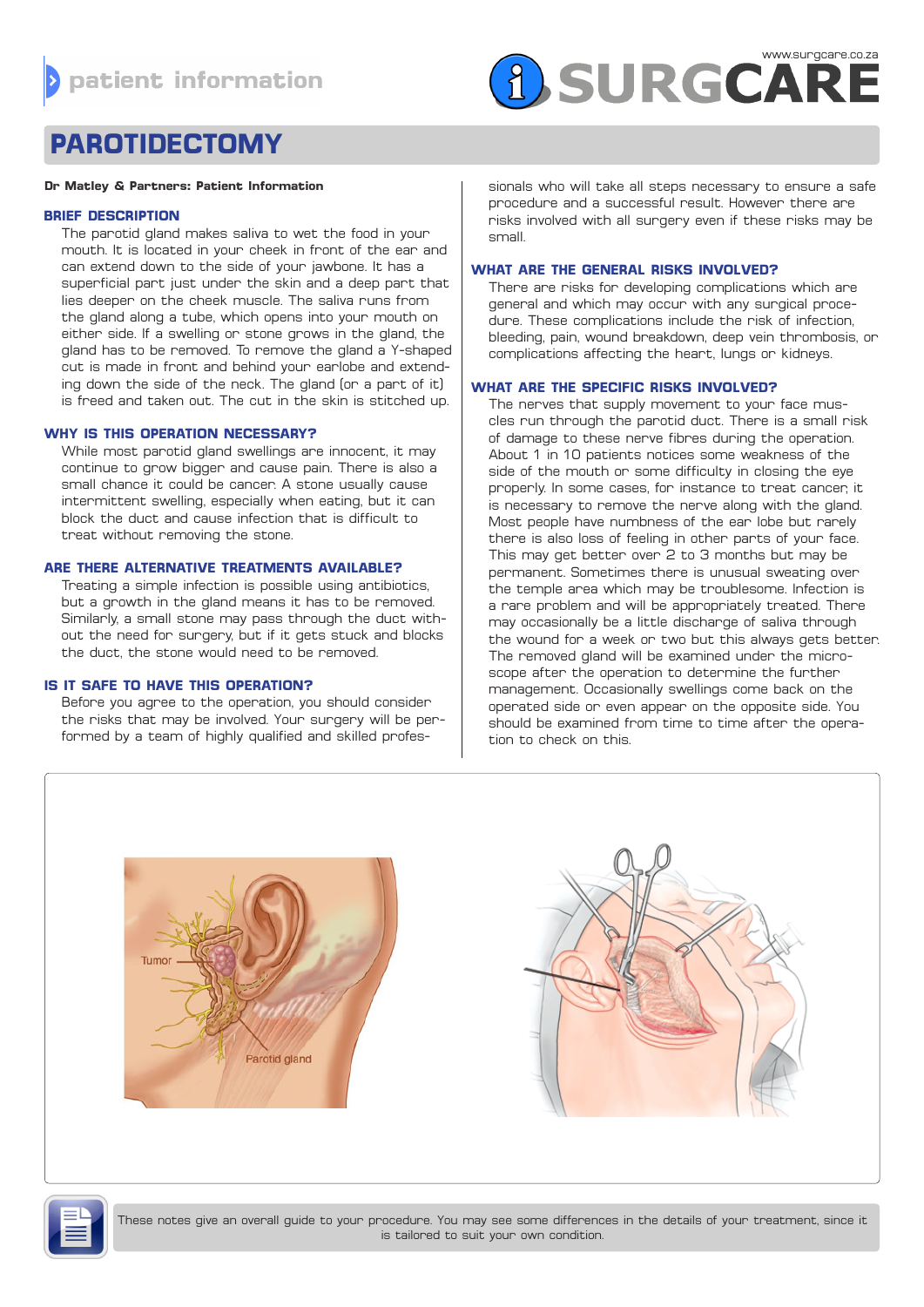# **A SURGCARE**

# **PAROTIDECTOMY**

#### **Dr Matley & Partners: Patient Information**

#### **BRIEF DESCRIPTION**

The parotid gland makes saliva to wet the food in your mouth. It is located in your cheek in front of the ear and can extend down to the side of your jawbone. It has a superficial part just under the skin and a deep part that lies deeper on the cheek muscle. The saliva runs from the gland along a tube, which opens into your mouth on either side. If a swelling or stone grows in the gland, the gland has to be removed. To remove the gland a Y-shaped cut is made in front and behind your earlobe and extending down the side of the neck. The gland (or a part of it) is freed and taken out. The cut in the skin is stitched up.

# **WHY IS THIS OPERATION NECESSARY?**

While most parotid gland swellings are innocent, it may continue to grow bigger and cause pain. There is also a small chance it could be cancer. A stone usually cause intermittent swelling, especially when eating, but it can block the duct and cause infection that is difficult to treat without removing the stone.

#### **ARE THERE ALTERNATIVE TREATMENTS AVAILABLE?**

Treating a simple infection is possible using antibiotics, but a growth in the gland means it has to be removed. Similarly, a small stone may pass through the duct without the need for surgery, but if it gets stuck and blocks the duct, the stone would need to be removed.

# **IS IT SAFE TO HAVE THIS OPERATION?**

Before you agree to the operation, you should consider the risks that may be involved. Your surgery will be performed by a team of highly qualified and skilled professionals who will take all steps necessary to ensure a safe procedure and a successful result. However there are risks involved with all surgery even if these risks may be small.

#### **WHAT ARE THE GENERAL RISKS INVOLVED?**

There are risks for developing complications which are general and which may occur with any surgical procedure. These complications include the risk of infection, bleeding, pain, wound breakdown, deep vein thrombosis, or complications affecting the heart, lungs or kidneys.

# **WHAT ARE THE SPECIFIC RISKS INVOLVED?**

The nerves that supply movement to your face muscles run through the parotid duct. There is a small risk of damage to these nerve fibres during the operation. About 1 in 10 patients notices some weakness of the side of the mouth or some difficulty in closing the eye properly. In some cases, for instance to treat cancer, it is necessary to remove the nerve along with the gland. Most people have numbness of the ear lobe but rarely there is also loss of feeling in other parts of your face. This may get better over 2 to 3 months but may be permanent. Sometimes there is unusual sweating over the temple area which may be troublesome. Infection is a rare problem and will be appropriately treated. There may occasionally be a little discharge of saliva through the wound for a week or two but this always gets better. The removed gland will be examined under the microscope after the operation to determine the further management. Occasionally swellings come back on the operated side or even appear on the opposite side. You should be examined from time to time after the operation to check on this.





These notes give an overall guide to your procedure. You may see some differences in the details of your treatment, since it is tailored to suit your own condition.